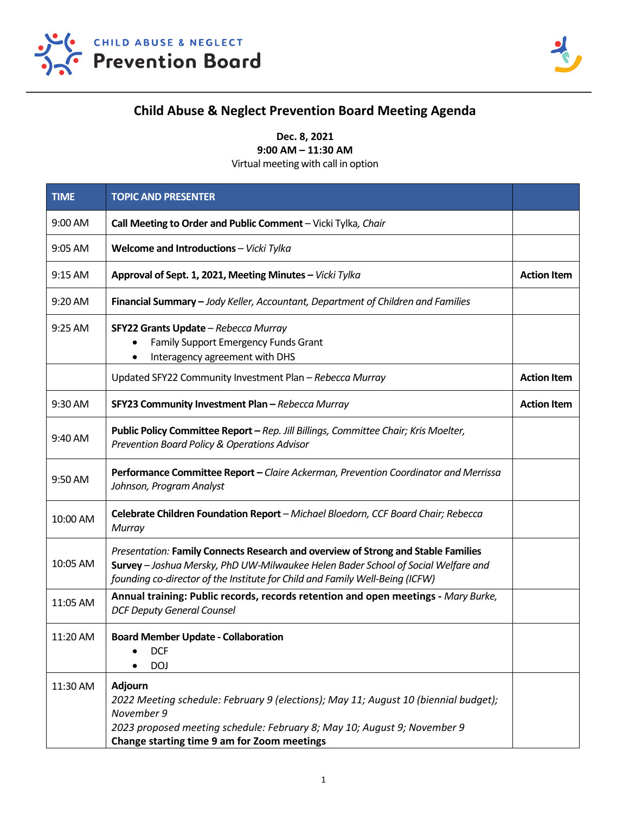



## **Child Abuse & Neglect Prevention Board Meeting Agenda**

**Dec. 8, 2021**

**9:00 AM – 11:30 AM**

Virtual meeting with call in option

| <b>TIME</b> | <b>TOPIC AND PRESENTER</b>                                                                                                                                                                                                                             |                    |
|-------------|--------------------------------------------------------------------------------------------------------------------------------------------------------------------------------------------------------------------------------------------------------|--------------------|
| 9:00 AM     | Call Meeting to Order and Public Comment - Vicki Tylka, Chair                                                                                                                                                                                          |                    |
| 9:05 AM     | Welcome and Introductions - Vicki Tylka                                                                                                                                                                                                                |                    |
| 9:15 AM     | Approval of Sept. 1, 2021, Meeting Minutes - Vicki Tylka                                                                                                                                                                                               | <b>Action Item</b> |
| 9:20 AM     | Financial Summary - Jody Keller, Accountant, Department of Children and Families                                                                                                                                                                       |                    |
| 9:25 AM     | SFY22 Grants Update - Rebecca Murray<br><b>Family Support Emergency Funds Grant</b><br>$\bullet$<br>Interagency agreement with DHS<br>$\bullet$                                                                                                        |                    |
|             | Updated SFY22 Community Investment Plan - Rebecca Murray                                                                                                                                                                                               | <b>Action Item</b> |
| 9:30 AM     | SFY23 Community Investment Plan - Rebecca Murray                                                                                                                                                                                                       | <b>Action Item</b> |
| 9:40 AM     | Public Policy Committee Report - Rep. Jill Billings, Committee Chair; Kris Moelter,<br>Prevention Board Policy & Operations Advisor                                                                                                                    |                    |
| 9:50 AM     | Performance Committee Report - Claire Ackerman, Prevention Coordinator and Merrissa<br>Johnson, Program Analyst                                                                                                                                        |                    |
| 10:00 AM    | Celebrate Children Foundation Report - Michael Bloedorn, CCF Board Chair; Rebecca<br>Murray                                                                                                                                                            |                    |
| 10:05 AM    | Presentation: Family Connects Research and overview of Strong and Stable Families<br>Survey - Joshua Mersky, PhD UW-Milwaukee Helen Bader School of Social Welfare and<br>founding co-director of the Institute for Child and Family Well-Being (ICFW) |                    |
| 11:05 AM    | Annual training: Public records, records retention and open meetings - Mary Burke,<br><b>DCF Deputy General Counsel</b>                                                                                                                                |                    |
| 11:20 AM    | <b>Board Member Update - Collaboration</b><br><b>DCF</b><br><b>DOJ</b>                                                                                                                                                                                 |                    |
| 11:30 AM    | <b>Adjourn</b><br>2022 Meeting schedule: February 9 (elections); May 11; August 10 (biennial budget);<br>November 9<br>2023 proposed meeting schedule: February 8; May 10; August 9; November 9<br>Change starting time 9 am for Zoom meetings         |                    |